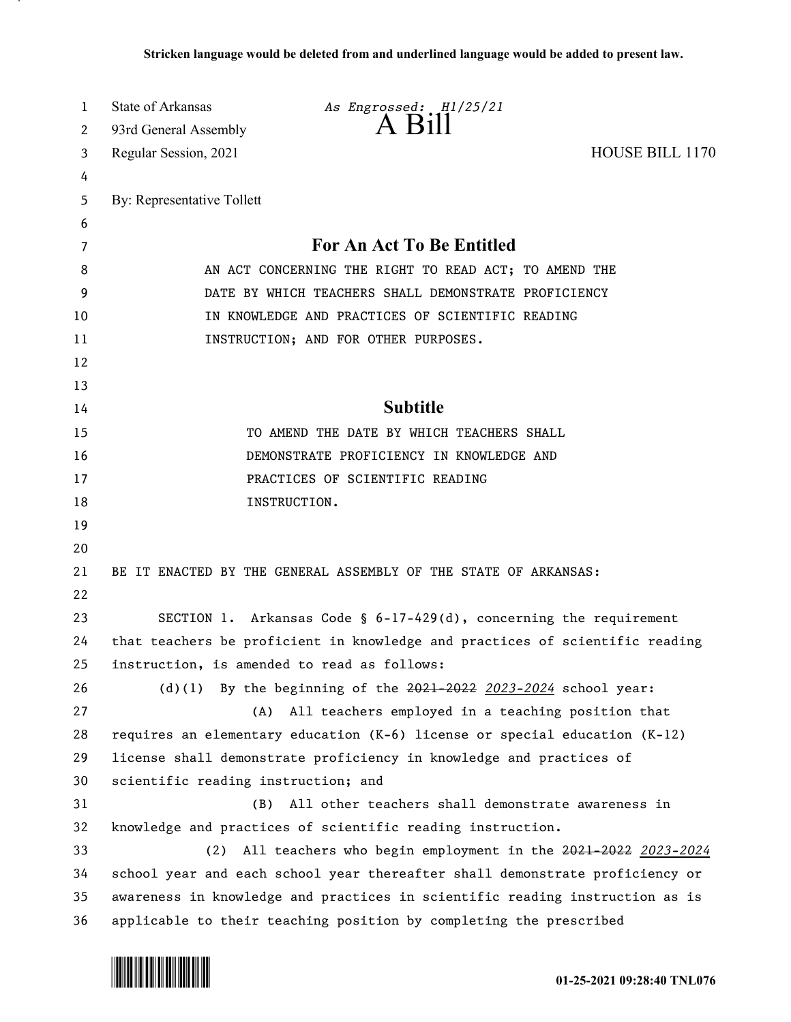| 1  | <b>State of Arkansas</b>                                                     | As Engrossed: H1/25/21                                                         |                        |
|----|------------------------------------------------------------------------------|--------------------------------------------------------------------------------|------------------------|
| 2  | 93rd General Assembly                                                        | $A$ $B111$                                                                     |                        |
| 3  | Regular Session, 2021                                                        |                                                                                | <b>HOUSE BILL 1170</b> |
| 4  |                                                                              |                                                                                |                        |
| 5  | By: Representative Tollett                                                   |                                                                                |                        |
| 6  |                                                                              |                                                                                |                        |
| 7  |                                                                              | For An Act To Be Entitled                                                      |                        |
| 8  | AN ACT CONCERNING THE RIGHT TO READ ACT; TO AMEND THE                        |                                                                                |                        |
| 9  | DATE BY WHICH TEACHERS SHALL DEMONSTRATE PROFICIENCY                         |                                                                                |                        |
| 10 | IN KNOWLEDGE AND PRACTICES OF SCIENTIFIC READING                             |                                                                                |                        |
| 11 | INSTRUCTION; AND FOR OTHER PURPOSES.                                         |                                                                                |                        |
| 12 |                                                                              |                                                                                |                        |
| 13 |                                                                              |                                                                                |                        |
| 14 |                                                                              | <b>Subtitle</b>                                                                |                        |
| 15 | TO AMEND THE DATE BY WHICH TEACHERS SHALL                                    |                                                                                |                        |
| 16 | DEMONSTRATE PROFICIENCY IN KNOWLEDGE AND                                     |                                                                                |                        |
| 17 | PRACTICES OF SCIENTIFIC READING                                              |                                                                                |                        |
| 18 |                                                                              | INSTRUCTION.                                                                   |                        |
| 19 |                                                                              |                                                                                |                        |
| 20 |                                                                              |                                                                                |                        |
| 21 | BE IT ENACTED BY THE GENERAL ASSEMBLY OF THE STATE OF ARKANSAS:              |                                                                                |                        |
| 22 |                                                                              |                                                                                |                        |
| 23 |                                                                              | SECTION 1. Arkansas Code § $6-17-429(d)$ , concerning the requirement          |                        |
| 24 |                                                                              | that teachers be proficient in knowledge and practices of scientific reading   |                        |
| 25 |                                                                              | instruction, is amended to read as follows:                                    |                        |
| 26 |                                                                              | (d)(1) By the beginning of the $2021 - 2022$ 2023-2024 school year:            |                        |
| 27 | (A)                                                                          | All teachers employed in a teaching position that                              |                        |
| 28 |                                                                              | requires an elementary education $(K-6)$ license or special education $(K-12)$ |                        |
| 29 |                                                                              | license shall demonstrate proficiency in knowledge and practices of            |                        |
| 30 | scientific reading instruction; and                                          |                                                                                |                        |
| 31 | (B)                                                                          | All other teachers shall demonstrate awareness in                              |                        |
| 32 |                                                                              | knowledge and practices of scientific reading instruction.                     |                        |
| 33 | (2)                                                                          | All teachers who begin employment in the 2021-2022 2023-2024                   |                        |
| 34 | school year and each school year thereafter shall demonstrate proficiency or |                                                                                |                        |
| 35 | awareness in knowledge and practices in scientific reading instruction as is |                                                                                |                        |
| 36 |                                                                              | applicable to their teaching position by completing the prescribed             |                        |